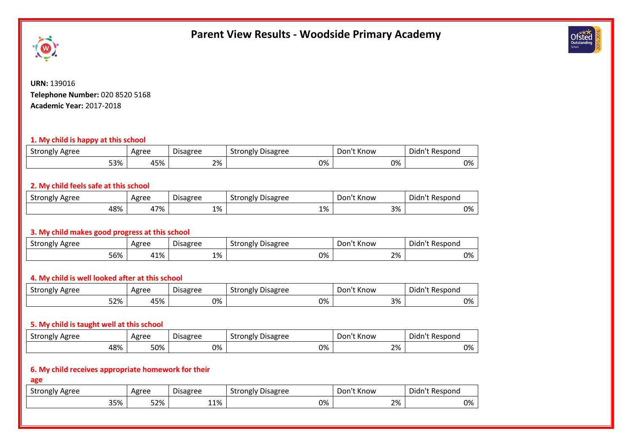# **Parent View Results - Woodside Primary Academy**





**URN:** 139016 **Telephone Number:** 020 8520 5168 **Academic Year:** 2017-2018

## **1. My child is happy at this school**

| $\sim$<br>Agree<br>Strongly | Agree | <b>Disagree</b> | Disagree<br>Strongly | Don't Know | Didn<br>'n't Respond |
|-----------------------------|-------|-----------------|----------------------|------------|----------------------|
| 53%                         | 45%   | 2%              | 0%                   | 0%         | 0%                   |

### **2. My child feels safe at this school**

| $\sim$<br>Agree<br>Strongly | Agree    | <b>Disagree</b>   | <b>Disagree</b><br>strongly ' | Know<br>Don' | Didn't<br>` Respono |
|-----------------------------|----------|-------------------|-------------------------------|--------------|---------------------|
| 48%                         | 17%<br>∸ | 101<br><b>170</b> | 1%                            | 3%           | 0%                  |

## **3. My child makes good progress at this school**

| Strongly<br>' Agree | Agree | $\overline{\phantom{a}}$<br><b>Disagree</b> | $- \cdot$<br>$\sim$<br>Strongly<br><b>Disagree</b> | Don<br>'† Know | Didn't<br>: Respond |
|---------------------|-------|---------------------------------------------|----------------------------------------------------|----------------|---------------------|
| 56%                 | 41%   | 1%                                          | 0%                                                 | 2%             | 0%                  |

# **4. My child is well looked after at this school**

| Strongly<br>' Agree | Agree | <u>.</u><br>Disagree | $\sim$<br>strongly '<br><b>Disagree</b> | <sup>.</sup> Know<br>Don't | Didn't Respond |
|---------------------|-------|----------------------|-----------------------------------------|----------------------------|----------------|
| 52%                 | 45%   | 0%                   | 0%                                      | 3%                         | 0%             |

## **5. My child is taught well at this school**

| -<br>Strongly<br>Agree | Agree | <b>Disagree</b> | $\sim$<br>Strongly<br><b>Disagree</b> | Know<br>υor | Didn't<br>: Respond |
|------------------------|-------|-----------------|---------------------------------------|-------------|---------------------|
| 48%                    | 50%   | 0%              | 0%                                    | 2%          | 0%                  |

# **6. My child receives appropriate homework for their**

**age**

| - -<br>Strongly<br>Agree | Agree | $\overline{\phantom{a}}$<br><b>Disagree</b> | <b>Disagree</b><br>Strongly<br>ີ | <sup>e</sup> t Know<br>Don | Didn'<br>`'t Kespona |
|--------------------------|-------|---------------------------------------------|----------------------------------|----------------------------|----------------------|
| 35%                      | 52%   | 110/<br><b>TT</b> /0                        | 0%                               | 2%                         | 0%                   |